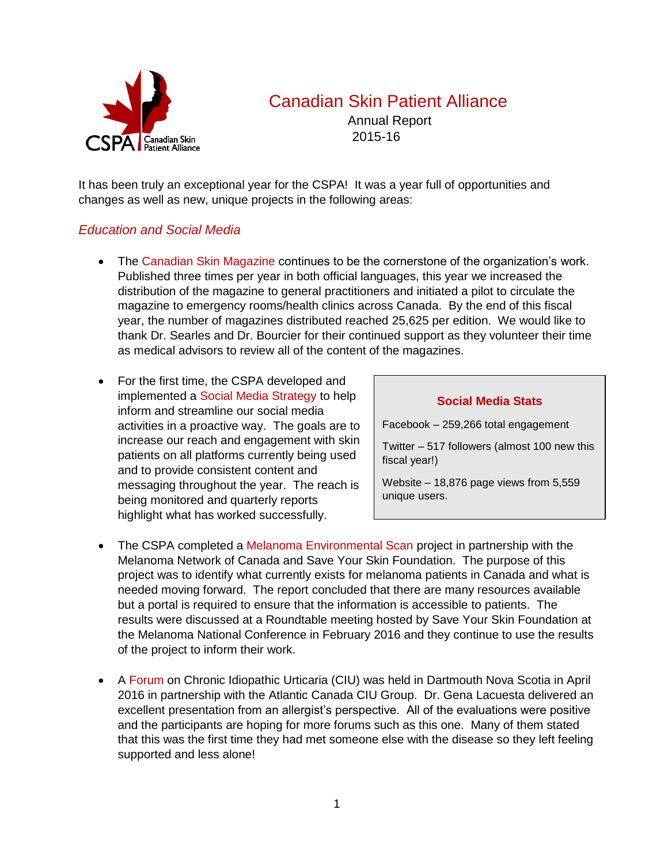

# Canadian Skin Patient Alliance

Annual Report 2015-16

It has been truly an exceptional year for the CSPA! It was a year full of opportunities and changes as well as new, unique projects in the following areas:

## *Education and Social Media*

- The Canadian Skin Magazine continues to be the cornerstone of the organization's work. Published three times per year in both official languages, this year we increased the distribution of the magazine to general practitioners and initiated a pilot to circulate the magazine to emergency rooms/health clinics across Canada. By the end of this fiscal year, the number of magazines distributed reached 25,625 per edition. We would like to thank Dr. Searles and Dr. Bourcier for their continued support as they volunteer their time as medical advisors to review all of the content of the magazines.
- For the first time, the CSPA developed and implemented a Social Media Strategy to help inform and streamline our social media activities in a proactive way. The goals are to increase our reach and engagement with skin patients on all platforms currently being used and to provide consistent content and messaging throughout the year. The reach is being monitored and quarterly reports highlight what has worked successfully.

#### **Social Media Stats**

Facebook – 259,266 total engagement

Twitter – 517 followers (almost 100 new this fiscal year!)

Website – 18,876 page views from 5,559 unique users.

- The CSPA completed a Melanoma Environmental Scan project in partnership with the Melanoma Network of Canada and Save Your Skin Foundation. The purpose of this project was to identify what currently exists for melanoma patients in Canada and what is needed moving forward. The report concluded that there are many resources available but a portal is required to ensure that the information is accessible to patients. The results were discussed at a Roundtable meeting hosted by Save Your Skin Foundation at the Melanoma National Conference in February 2016 and they continue to use the results of the project to inform their work.
- A Forum on Chronic Idiopathic Urticaria (CIU) was held in Dartmouth Nova Scotia in April 2016 in partnership with the Atlantic Canada CIU Group. Dr. Gena Lacuesta delivered an excellent presentation from an allergist's perspective. All of the evaluations were positive and the participants are hoping for more forums such as this one. Many of them stated that this was the first time they had met someone else with the disease so they left feeling supported and less alone!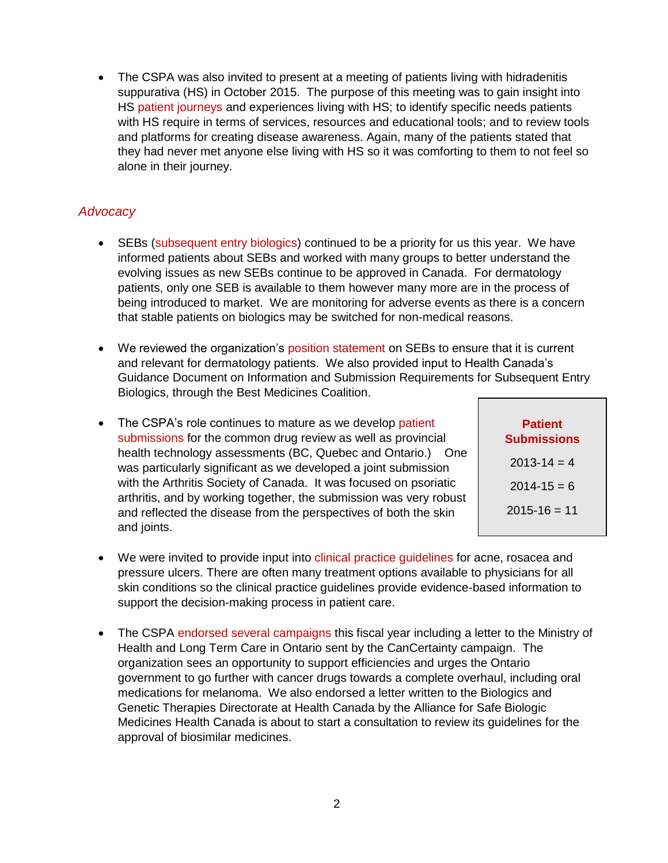The CSPA was also invited to present at a meeting of patients living with hidradenitis suppurativa (HS) in October 2015. The purpose of this meeting was to gain insight into HS patient journeys and experiences living with HS; to identify specific needs patients with HS require in terms of services, resources and educational tools; and to review tools and platforms for creating disease awareness. Again, many of the patients stated that they had never met anyone else living with HS so it was comforting to them to not feel so alone in their journey.

# *Advocacy*

- SEBs (subsequent entry biologics) continued to be a priority for us this year. We have informed patients about SEBs and worked with many groups to better understand the evolving issues as new SEBs continue to be approved in Canada. For dermatology patients, only one SEB is available to them however many more are in the process of being introduced to market. We are monitoring for adverse events as there is a concern that stable patients on biologics may be switched for non-medical reasons.
- We reviewed the organization's position statement on SEBs to ensure that it is current and relevant for dermatology patients. We also provided input to Health Canada's Guidance Document on Information and Submission Requirements for Subsequent Entry Biologics, through the Best Medicines Coalition.
- The CSPA's role continues to mature as we develop patient submissions for the common drug review as well as provincial health technology assessments (BC, Quebec and Ontario.) One was particularly significant as we developed a joint submission with the Arthritis Society of Canada. It was focused on psoriatic arthritis, and by working together, the submission was very robust and reflected the disease from the perspectives of both the skin and joints.

| <b>Patient</b><br>Submissions |
|-------------------------------|
| $2013 - 14 = 4$               |
| $2014 - 15 = 6$               |
| $2015 - 16 = 11$              |
|                               |

- We were invited to provide input into clinical practice quidelines for acne, rosacea and pressure ulcers. There are often many treatment options available to physicians for all skin conditions so the clinical practice guidelines provide evidence-based information to support the decision-making process in patient care.
- The CSPA endorsed several campaigns this fiscal year including a letter to the Ministry of Health and Long Term Care in Ontario sent by the CanCertainty campaign. The organization sees an opportunity to support efficiencies and urges the Ontario government to go further with cancer drugs towards a complete overhaul, including oral medications for melanoma. We also endorsed a letter written to the Biologics and Genetic Therapies Directorate at Health Canada by the Alliance for Safe Biologic Medicines Health Canada is about to start a consultation to review its guidelines for the approval of biosimilar medicines.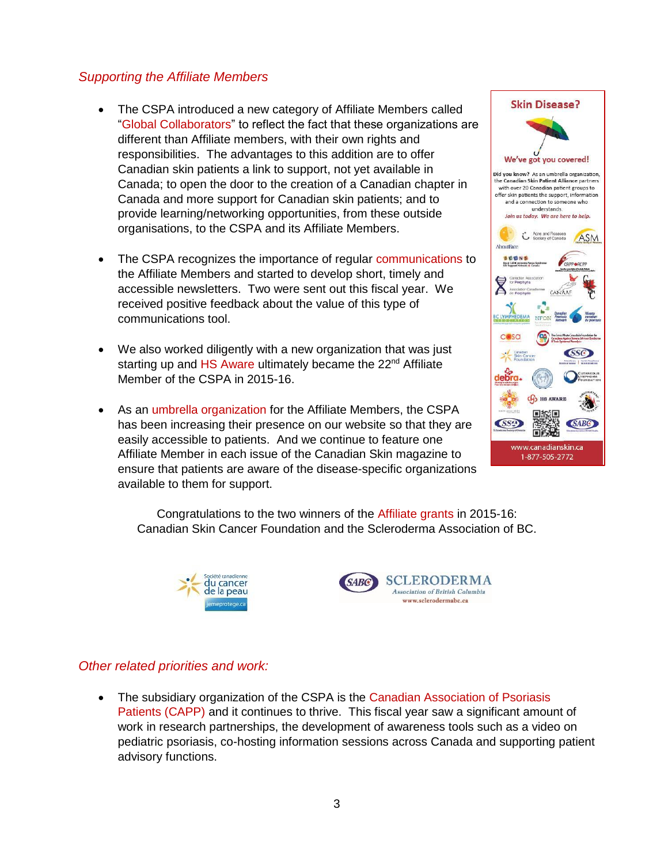## *Supporting the Affiliate Members*

- The CSPA introduced a new category of Affiliate Members called "Global Collaborators" to reflect the fact that these organizations are different than Affiliate members, with their own rights and responsibilities. The advantages to this addition are to offer Canadian skin patients a link to support, not yet available in Canada; to open the door to the creation of a Canadian chapter in Canada and more support for Canadian skin patients; and to provide learning/networking opportunities, from these outside organisations, to the CSPA and its Affiliate Members.
- The CSPA recognizes the importance of regular communications to the Affiliate Members and started to develop short, timely and accessible newsletters. Two were sent out this fiscal year. We received positive feedback about the value of this type of communications tool.
- We also worked diligently with a new organization that was just starting up and HS Aware ultimately became the  $22<sup>nd</sup>$  Affiliate Member of the CSPA in 2015-16.
- As an umbrella organization for the Affiliate Members, the CSPA has been increasing their presence on our website so that they are easily accessible to patients. And we continue to feature one Affiliate Member in each issue of the Canadian Skin magazine to ensure that patients are aware of the disease-specific organizations available to them for support.



Congratulations to the two winners of the Affiliate grants in 2015-16: Canadian Skin Cancer Foundation and the Scleroderma Association of BC.





## *Other related priorities and work:*

 The subsidiary organization of the CSPA is the Canadian Association of Psoriasis Patients (CAPP) and it continues to thrive. This fiscal year saw a significant amount of work in research partnerships, the development of awareness tools such as a video on pediatric psoriasis, co-hosting information sessions across Canada and supporting patient advisory functions.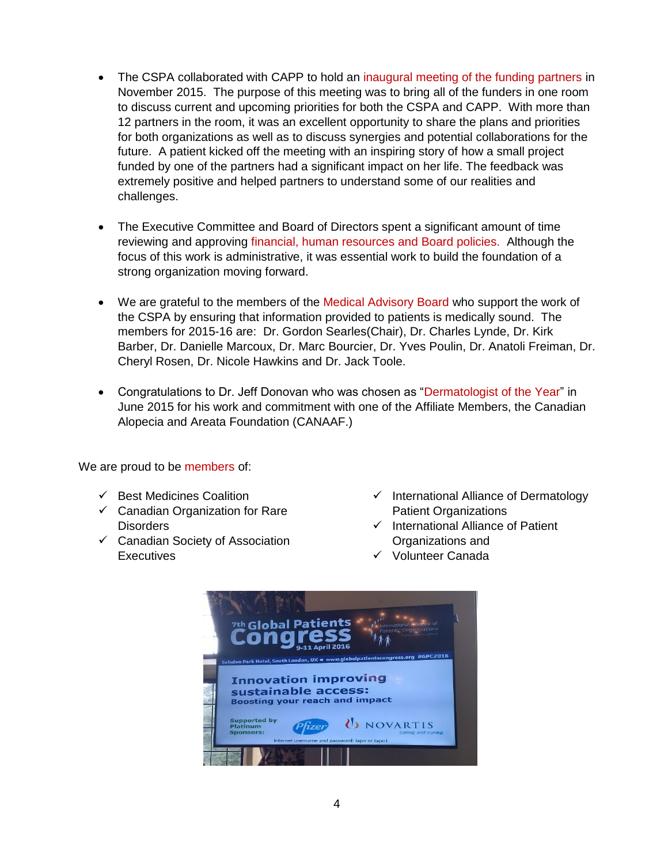- The CSPA collaborated with CAPP to hold an inaugural meeting of the funding partners in November 2015. The purpose of this meeting was to bring all of the funders in one room to discuss current and upcoming priorities for both the CSPA and CAPP. With more than 12 partners in the room, it was an excellent opportunity to share the plans and priorities for both organizations as well as to discuss synergies and potential collaborations for the future. A patient kicked off the meeting with an inspiring story of how a small project funded by one of the partners had a significant impact on her life. The feedback was extremely positive and helped partners to understand some of our realities and challenges.
- The Executive Committee and Board of Directors spent a significant amount of time reviewing and approving financial, human resources and Board policies. Although the focus of this work is administrative, it was essential work to build the foundation of a strong organization moving forward.
- We are grateful to the members of the Medical Advisory Board who support the work of the CSPA by ensuring that information provided to patients is medically sound. The members for 2015-16 are: Dr. Gordon Searles(Chair), Dr. Charles Lynde, Dr. Kirk Barber, Dr. Danielle Marcoux, Dr. Marc Bourcier, Dr. Yves Poulin, Dr. Anatoli Freiman, Dr. Cheryl Rosen, Dr. Nicole Hawkins and Dr. Jack Toole.
- Congratulations to Dr. Jeff Donovan who was chosen as "Dermatologist of the Year" in June 2015 for his work and commitment with one of the Affiliate Members, the Canadian Alopecia and Areata Foundation (CANAAF.)

We are proud to be members of:

- $\checkmark$  Best Medicines Coalition
- $\checkmark$  Canadian Organization for Rare Disorders
- $\checkmark$  Canadian Society of Association **Executives**
- $\checkmark$  International Alliance of Dermatology Patient Organizations
- $\checkmark$  International Alliance of Patient Organizations and
- Volunteer Canada